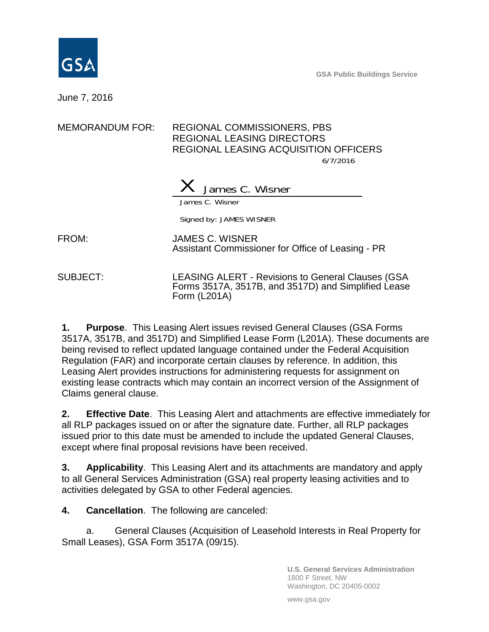

**GSA Public Buildings Service**

June 7, 2016

#### MEMORANDUM FOR: REGIONAL COMMISSIONERS, PBS REGIONAL LEASING DIRECTORS REGIONAL LEASING ACQUISITION OFFICERS

6/7/2016



James C. Wisner

Signed by: JAMES WISNER

FROM: JAMES C. WISNER Assistant Commissioner for Office of Leasing - PR

SUBJECT: LEASING ALERT - Revisions to General Clauses (GSA Forms 3517A, 3517B, and 3517D) and Simplified Lease Form (L201A)

**1. Purpose**. This Leasing Alert issues revised General Clauses (GSA Forms 3517A, 3517B, and 3517D) and Simplified Lease Form (L201A). These documents are being revised to reflect updated language contained under the Federal Acquisition Regulation (FAR) and incorporate certain clauses by reference. In addition, this Leasing Alert provides instructions for administering requests for assignment on existing lease contracts which may contain an incorrect version of the Assignment of Claims general clause.

**2. Effective Date**. This Leasing Alert and attachments are effective immediately for all RLP packages issued on or after the signature date. Further, all RLP packages issued prior to this date must be amended to include the updated General Clauses, except where final proposal revisions have been received.

**3. Applicability**. This Leasing Alert and its attachments are mandatory and apply to all General Services Administration (GSA) real property leasing activities and to activities delegated by GSA to other Federal agencies.

**4. Cancellation**. The following are canceled:

a. General Clauses (Acquisition of Leasehold Interests in Real Property for Small Leases), GSA Form 3517A (09/15).

> **U.S. General Services Administration** 1800 F Street, NW Washington, DC 20405-0002

www.gsa.gov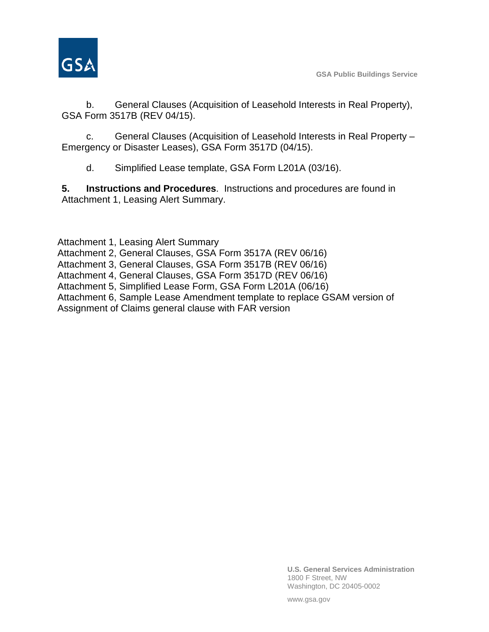

**GSA Public Buildings Service**

b. General Clauses (Acquisition of Leasehold Interests in Real Property), GSA Form 3517B (REV 04/15).

c. General Clauses (Acquisition of Leasehold Interests in Real Property – Emergency or Disaster Leases), GSA Form 3517D (04/15).

d. Simplified Lease template, GSA Form L201A (03/16).

**5. Instructions and Procedures**. Instructions and procedures are found in Attachment 1, Leasing Alert Summary.

Attachment 1, Leasing Alert Summary

Attachment 2, General Clauses, GSA Form 3517A (REV 06/16)

Attachment 3, General Clauses, GSA Form 3517B (REV 06/16)

Attachment 4, General Clauses, GSA Form 3517D (REV 06/16)

Attachment 5, Simplified Lease Form, GSA Form L201A (06/16)

Attachment 6, Sample Lease Amendment template to replace GSAM version of

Assignment of Claims general clause with FAR version

**U.S. General Services Administration** 1800 F Street, NW Washington, DC 20405-0002

www.gsa.gov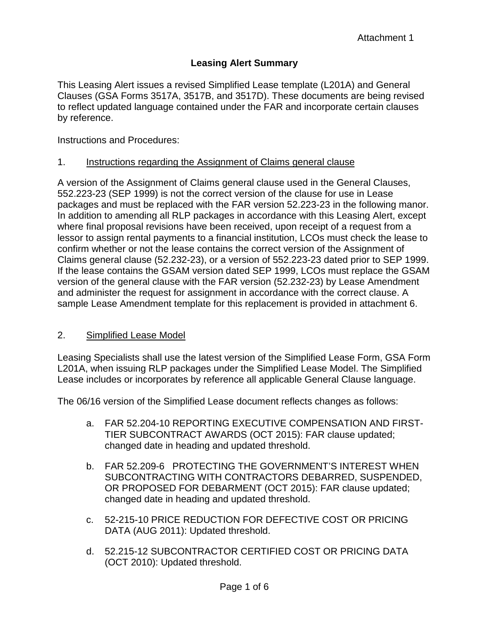## **Leasing Alert Summary**

This Leasing Alert issues a revised Simplified Lease template (L201A) and General Clauses (GSA Forms 3517A, 3517B, and 3517D). These documents are being revised to reflect updated language contained under the FAR and incorporate certain clauses by reference.

Instructions and Procedures:

#### 1. Instructions regarding the Assignment of Claims general clause

A version of the Assignment of Claims general clause used in the General Clauses, 552.223-23 (SEP 1999) is not the correct version of the clause for use in Lease packages and must be replaced with the FAR version 52.223-23 in the following manor. In addition to amending all RLP packages in accordance with this Leasing Alert, except where final proposal revisions have been received, upon receipt of a request from a lessor to assign rental payments to a financial institution, LCOs must check the lease to confirm whether or not the lease contains the correct version of the Assignment of Claims general clause (52.232-23), or a version of 552.223-23 dated prior to SEP 1999. If the lease contains the GSAM version dated SEP 1999, LCOs must replace the GSAM version of the general clause with the FAR version (52.232-23) by Lease Amendment and administer the request for assignment in accordance with the correct clause. A sample Lease Amendment template for this replacement is provided in attachment 6.

#### 2. Simplified Lease Model

Leasing Specialists shall use the latest version of the Simplified Lease Form, GSA Form L201A, when issuing RLP packages under the Simplified Lease Model. The Simplified Lease includes or incorporates by reference all applicable General Clause language.

The 06/16 version of the Simplified Lease document reflects changes as follows:

- a. FAR 52.204-10 REPORTING EXECUTIVE COMPENSATION AND FIRST-TIER SUBCONTRACT AWARDS (OCT 2015): FAR clause updated; changed date in heading and updated threshold.
- b. FAR 52.209-6 PROTECTING THE GOVERNMENT'S INTEREST WHEN SUBCONTRACTING WITH CONTRACTORS DEBARRED, SUSPENDED, OR PROPOSED FOR DEBARMENT (OCT 2015): FAR clause updated; changed date in heading and updated threshold.
- c. 52-215-10 PRICE REDUCTION FOR DEFECTIVE COST OR PRICING DATA (AUG 2011): Updated threshold.
- d. 52.215-12 SUBCONTRACTOR CERTIFIED COST OR PRICING DATA (OCT 2010): Updated threshold.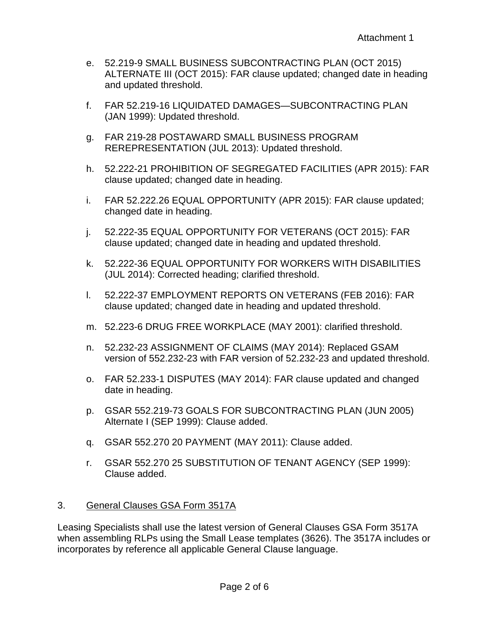- e. 52.219-9 SMALL BUSINESS SUBCONTRACTING PLAN (OCT 2015) ALTERNATE III (OCT 2015): FAR clause updated; changed date in heading and updated threshold.
- f. FAR 52.219-16 LIQUIDATED DAMAGES—SUBCONTRACTING PLAN (JAN 1999): Updated threshold.
- g. FAR 219-28 POSTAWARD SMALL BUSINESS PROGRAM REREPRESENTATION (JUL 2013): Updated threshold.
- h. 52.222-21 PROHIBITION OF SEGREGATED FACILITIES (APR 2015): FAR clause updated; changed date in heading.
- i. FAR 52.222.26 EQUAL OPPORTUNITY (APR 2015): FAR clause updated; changed date in heading.
- j. 52.222-35 EQUAL OPPORTUNITY FOR VETERANS (OCT 2015): FAR clause updated; changed date in heading and updated threshold.
- k. 52.222-36 EQUAL OPPORTUNITY FOR WORKERS WITH DISABILITIES (JUL 2014): Corrected heading; clarified threshold.
- l. 52.222-37 EMPLOYMENT REPORTS ON VETERANS (FEB 2016): FAR clause updated; changed date in heading and updated threshold.
- m. 52.223-6 DRUG FREE WORKPLACE (MAY 2001): clarified threshold.
- n. 52.232-23 ASSIGNMENT OF CLAIMS (MAY 2014): Replaced GSAM version of 552.232-23 with FAR version of 52.232-23 and updated threshold.
- o. FAR 52.233-1 DISPUTES (MAY 2014): FAR clause updated and changed date in heading.
- p. GSAR 552.219-73 GOALS FOR SUBCONTRACTING PLAN (JUN 2005) Alternate I (SEP 1999): Clause added.
- q. GSAR 552.270 20 PAYMENT (MAY 2011): Clause added.
- r. GSAR 552.270 25 SUBSTITUTION OF TENANT AGENCY (SEP 1999): Clause added.

### 3. General Clauses GSA Form 3517A

Leasing Specialists shall use the latest version of General Clauses GSA Form 3517A when assembling RLPs using the Small Lease templates (3626). The 3517A includes or incorporates by reference all applicable General Clause language.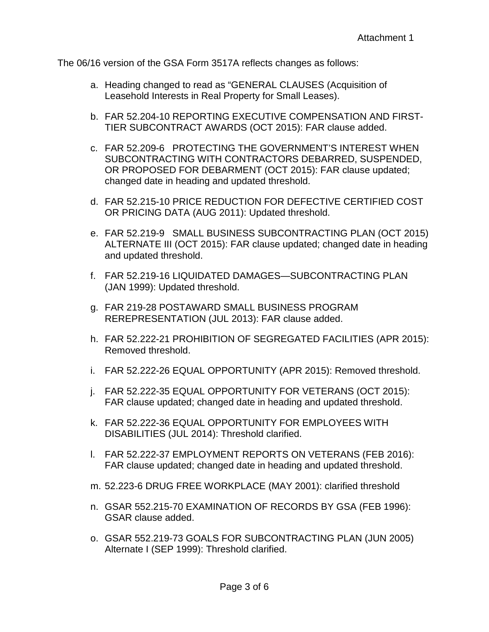The 06/16 version of the GSA Form 3517A reflects changes as follows:

- a. Heading changed to read as "GENERAL CLAUSES (Acquisition of Leasehold Interests in Real Property for Small Leases).
- b. FAR 52.204-10 REPORTING EXECUTIVE COMPENSATION AND FIRST-TIER SUBCONTRACT AWARDS (OCT 2015): FAR clause added.
- c. FAR 52.209-6 PROTECTING THE GOVERNMENT'S INTEREST WHEN SUBCONTRACTING WITH CONTRACTORS DEBARRED, SUSPENDED, OR PROPOSED FOR DEBARMENT (OCT 2015): FAR clause updated; changed date in heading and updated threshold.
- d. FAR 52.215-10 PRICE REDUCTION FOR DEFECTIVE CERTIFIED COST OR PRICING DATA (AUG 2011): Updated threshold.
- e. FAR 52.219-9 SMALL BUSINESS SUBCONTRACTING PLAN (OCT 2015) ALTERNATE III (OCT 2015): FAR clause updated; changed date in heading and updated threshold.
- f. FAR 52.219-16 LIQUIDATED DAMAGES—SUBCONTRACTING PLAN (JAN 1999): Updated threshold.
- g. FAR 219-28 POSTAWARD SMALL BUSINESS PROGRAM REREPRESENTATION (JUL 2013): FAR clause added.
- h. FAR 52.222-21 PROHIBITION OF SEGREGATED FACILITIES (APR 2015): Removed threshold.
- i. FAR 52.222-26 EQUAL OPPORTUNITY (APR 2015): Removed threshold.
- j. FAR 52.222-35 EQUAL OPPORTUNITY FOR VETERANS (OCT 2015): FAR clause updated; changed date in heading and updated threshold.
- k. FAR 52.222-36 EQUAL OPPORTUNITY FOR EMPLOYEES WITH DISABILITIES (JUL 2014): Threshold clarified.
- l. FAR 52.222-37 EMPLOYMENT REPORTS ON VETERANS (FEB 2016): FAR clause updated; changed date in heading and updated threshold.
- m. 52.223-6 DRUG FREE WORKPLACE (MAY 2001): clarified threshold
- n. GSAR 552.215-70 EXAMINATION OF RECORDS BY GSA (FEB 1996): GSAR clause added.
- o. GSAR 552.219-73 GOALS FOR SUBCONTRACTING PLAN (JUN 2005) Alternate I (SEP 1999): Threshold clarified.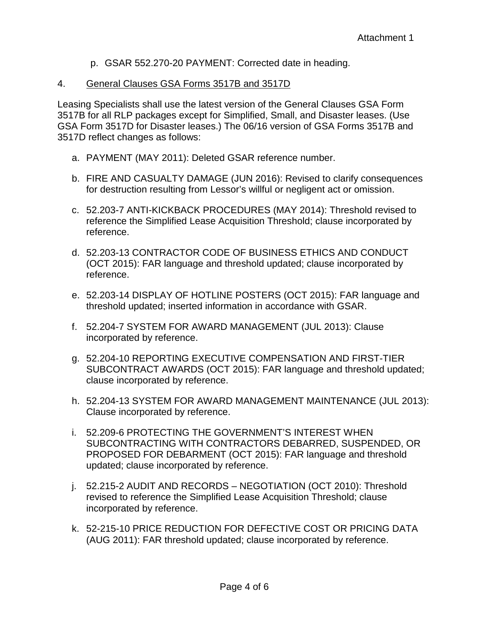- p. GSAR 552.270-20 PAYMENT: Corrected date in heading.
- 4. General Clauses GSA Forms 3517B and 3517D

Leasing Specialists shall use the latest version of the General Clauses GSA Form 3517B for all RLP packages except for Simplified, Small, and Disaster leases. (Use GSA Form 3517D for Disaster leases.) The 06/16 version of GSA Forms 3517B and 3517D reflect changes as follows:

- a. PAYMENT (MAY 2011): Deleted GSAR reference number.
- b. FIRE AND CASUALTY DAMAGE (JUN 2016): Revised to clarify consequences for destruction resulting from Lessor's willful or negligent act or omission.
- c. 52.203-7 ANTI-KICKBACK PROCEDURES (MAY 2014): Threshold revised to reference the Simplified Lease Acquisition Threshold; clause incorporated by reference.
- d. 52.203-13 CONTRACTOR CODE OF BUSINESS ETHICS AND CONDUCT (OCT 2015): FAR language and threshold updated; clause incorporated by reference.
- e. 52.203-14 DISPLAY OF HOTLINE POSTERS (OCT 2015): FAR language and threshold updated; inserted information in accordance with GSAR.
- f. 52.204-7 SYSTEM FOR AWARD MANAGEMENT (JUL 2013): Clause incorporated by reference.
- g. 52.204-10 REPORTING EXECUTIVE COMPENSATION AND FIRST-TIER SUBCONTRACT AWARDS (OCT 2015): FAR language and threshold updated; clause incorporated by reference.
- h. 52.204-13 SYSTEM FOR AWARD MANAGEMENT MAINTENANCE (JUL 2013): Clause incorporated by reference.
- i. 52.209-6 PROTECTING THE GOVERNMENT'S INTEREST WHEN SUBCONTRACTING WITH CONTRACTORS DEBARRED, SUSPENDED, OR PROPOSED FOR DEBARMENT (OCT 2015): FAR language and threshold updated; clause incorporated by reference.
- j. 52.215-2 AUDIT AND RECORDS NEGOTIATION (OCT 2010): Threshold revised to reference the Simplified Lease Acquisition Threshold; clause incorporated by reference.
- k. 52-215-10 PRICE REDUCTION FOR DEFECTIVE COST OR PRICING DATA (AUG 2011): FAR threshold updated; clause incorporated by reference.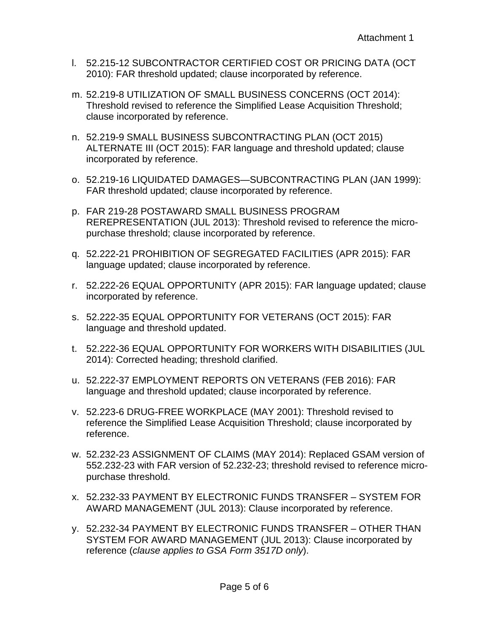- l. 52.215-12 SUBCONTRACTOR CERTIFIED COST OR PRICING DATA (OCT 2010): FAR threshold updated; clause incorporated by reference.
- m. 52.219-8 UTILIZATION OF SMALL BUSINESS CONCERNS (OCT 2014): Threshold revised to reference the Simplified Lease Acquisition Threshold; clause incorporated by reference.
- n. 52.219-9 SMALL BUSINESS SUBCONTRACTING PLAN (OCT 2015) ALTERNATE III (OCT 2015): FAR language and threshold updated; clause incorporated by reference.
- o. 52.219-16 LIQUIDATED DAMAGES—SUBCONTRACTING PLAN (JAN 1999): FAR threshold updated; clause incorporated by reference.
- p. FAR 219-28 POSTAWARD SMALL BUSINESS PROGRAM REREPRESENTATION (JUL 2013): Threshold revised to reference the micropurchase threshold; clause incorporated by reference.
- q. 52.222-21 PROHIBITION OF SEGREGATED FACILITIES (APR 2015): FAR language updated; clause incorporated by reference.
- r. 52.222-26 EQUAL OPPORTUNITY (APR 2015): FAR language updated; clause incorporated by reference.
- s. 52.222-35 EQUAL OPPORTUNITY FOR VETERANS (OCT 2015): FAR language and threshold updated.
- t. 52.222-36 EQUAL OPPORTUNITY FOR WORKERS WITH DISABILITIES (JUL 2014): Corrected heading; threshold clarified.
- u. 52.222-37 EMPLOYMENT REPORTS ON VETERANS (FEB 2016): FAR language and threshold updated; clause incorporated by reference.
- v. 52.223-6 DRUG-FREE WORKPLACE (MAY 2001): Threshold revised to reference the Simplified Lease Acquisition Threshold; clause incorporated by reference.
- w. 52.232-23 ASSIGNMENT OF CLAIMS (MAY 2014): Replaced GSAM version of 552.232-23 with FAR version of 52.232-23; threshold revised to reference micropurchase threshold.
- x. 52.232-33 PAYMENT BY ELECTRONIC FUNDS TRANSFER SYSTEM FOR AWARD MANAGEMENT (JUL 2013): Clause incorporated by reference.
- y. 52.232-34 PAYMENT BY ELECTRONIC FUNDS TRANSFER OTHER THAN SYSTEM FOR AWARD MANAGEMENT (JUL 2013): Clause incorporated by reference (*clause applies to GSA Form 3517D only*).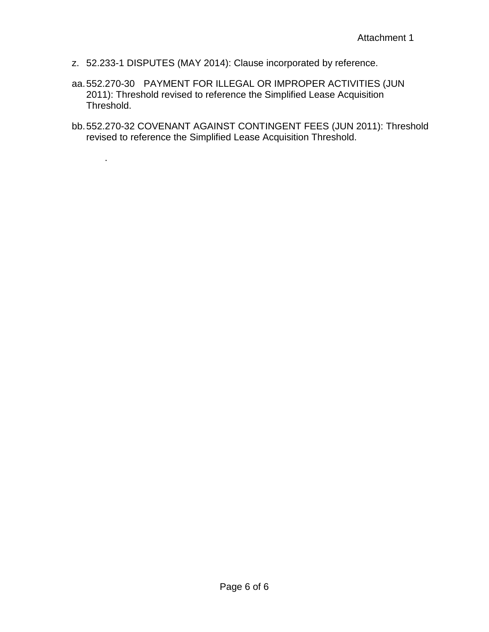z. 52.233-1 DISPUTES (MAY 2014): Clause incorporated by reference.

.

- aa.552.270-30 PAYMENT FOR ILLEGAL OR IMPROPER ACTIVITIES (JUN 2011): Threshold revised to reference the Simplified Lease Acquisition Threshold.
- bb.552.270-32 COVENANT AGAINST CONTINGENT FEES (JUN 2011): Threshold revised to reference the Simplified Lease Acquisition Threshold.